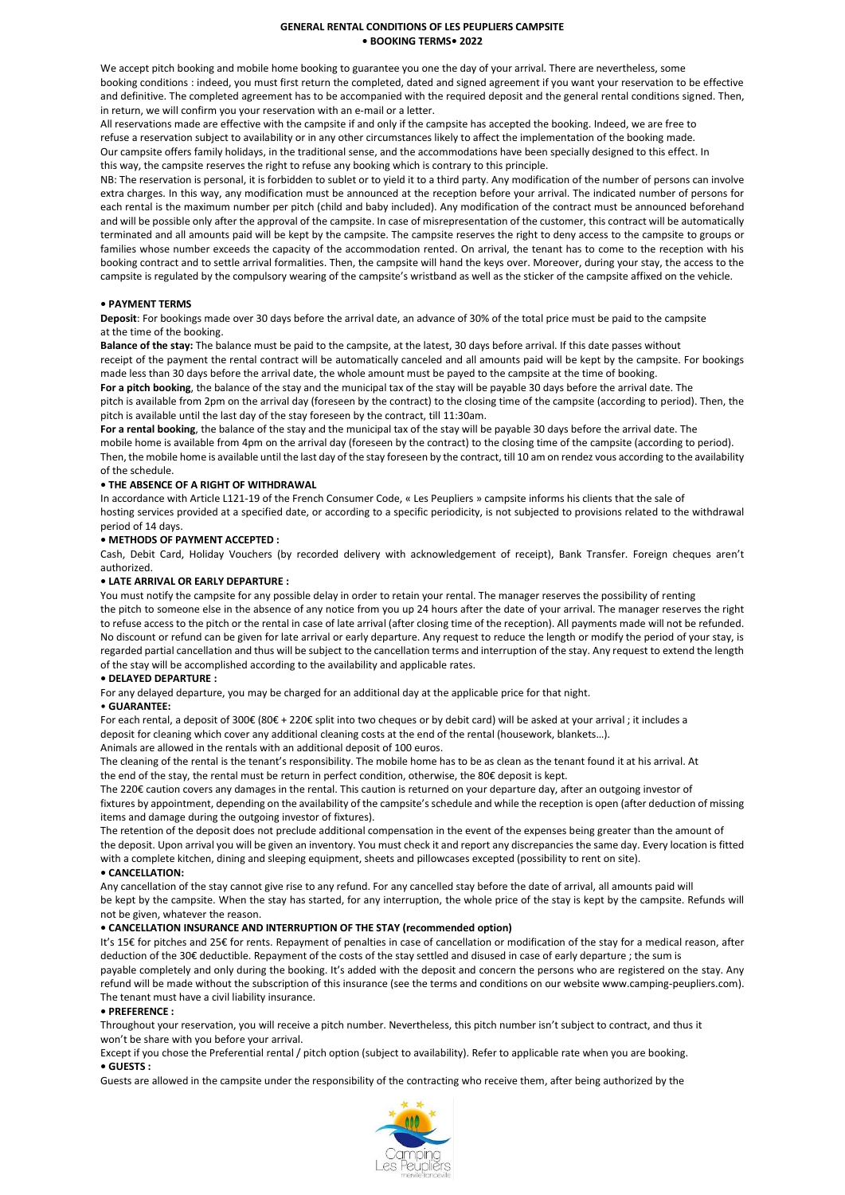## **GENERAL RENTAL CONDITIONS OF LES PEUPLIERS CAMPSITE • BOOKING TERMS• 2022**

We accept pitch booking and mobile home booking to guarantee you one the day of your arrival. There are nevertheless, some booking conditions : indeed, you must first return the completed, dated and signed agreement if you want your reservation to be effective and definitive. The completed agreement has to be accompanied with the required deposit and the general rental conditions signed. Then, in return, we will confirm you your reservation with an e-mail or a letter.

All reservations made are effective with the campsite if and only if the campsite has accepted the booking. Indeed, we are free to refuse a reservation subject to availability or in any other circumstances likely to affect the implementation of the booking made. Our campsite offers family holidays, in the traditional sense, and the accommodations have been specially designed to this effect. In this way, the campsite reserves the right to refuse any booking which is contrary to this principle.

NB: The reservation is personal, it is forbidden to sublet or to yield it to a third party. Any modification of the number of persons can involve extra charges. In this way, any modification must be announced at the reception before your arrival. The indicated number of persons for each rental is the maximum number per pitch (child and baby included). Any modification of the contract must be announced beforehand and will be possible only after the approval of the campsite. In case of misrepresentation of the customer, this contract will be automatically terminated and all amounts paid will be kept by the campsite. The campsite reserves the right to deny access to the campsite to groups or families whose number exceeds the capacity of the accommodation rented. On arrival, the tenant has to come to the reception with his booking contract and to settle arrival formalities. Then, the campsite will hand the keys over. Moreover, during your stay, the access to the campsite is regulated by the compulsory wearing of the campsite's wristband as well as the sticker of the campsite affixed on the vehicle.

## **• PAYMENT TERMS**

**Deposit**: For bookings made over 30 days before the arrival date, an advance of 30% of the total price must be paid to the campsite at the time of the booking.

**Balance of the stay:** The balance must be paid to the campsite, at the latest, 30 days before arrival. If this date passes without receipt of the payment the rental contract will be automatically canceled and all amounts paid will be kept by the campsite. For bookings made less than 30 days before the arrival date, the whole amount must be payed to the campsite at the time of booking.

**For a pitch booking**, the balance of the stay and the municipal tax of the stay will be payable 30 days before the arrival date. The pitch is available from 2pm on the arrival day (foreseen by the contract) to the closing time of the campsite (according to period). Then, the pitch is available until the last day of the stay foreseen by the contract, till 11:30am.

**For a rental booking**, the balance of the stay and the municipal tax of the stay will be payable 30 days before the arrival date. The mobile home is available from 4pm on the arrival day (foreseen by the contract) to the closing time of the campsite (according to period). Then, the mobile home is available until the last day of the stay foreseen by the contract, till 10 am on rendez vous according to the availability of the schedule.

## **• THE ABSENCE OF A RIGHT OF WITHDRAWAL**

In accordance with Article L121-19 of the French Consumer Code, « Les Peupliers » campsite informs his clients that the sale of hosting services provided at a specified date, or according to a specific periodicity, is not subjected to provisions related to the withdrawal period of 14 days.

# **• METHODS OF PAYMENT ACCEPTED :**

Cash, Debit Card, Holiday Vouchers (by recorded delivery with acknowledgement of receipt), Bank Transfer. Foreign cheques aren't authorized.

## **• LATE ARRIVAL OR EARLY DEPARTURE :**

You must notify the campsite for any possible delay in order to retain your rental. The manager reserves the possibility of renting the pitch to someone else in the absence of any notice from you up 24 hours after the date of your arrival. The manager reserves the right to refuse access to the pitch or the rental in case of late arrival (after closing time of the reception). All payments made will not be refunded. No discount or refund can be given for late arrival or early departure. Any request to reduce the length or modify the period of your stay, is regarded partial cancellation and thus will be subject to the cancellation terms and interruption of the stay. Any request to extend the length of the stay will be accomplished according to the availability and applicable rates.

## **• DELAYED DEPARTURE :**

For any delayed departure, you may be charged for an additional day at the applicable price for that night.

## • **GUARANTEE:**

For each rental, a deposit of 300€ (80€ + 220€ split into two cheques or by debit card) will be asked at your arrival ; it includes a deposit for cleaning which cover any additional cleaning costs at the end of the rental (housework, blankets…).

Animals are allowed in the rentals with an additional deposit of 100 euros.

The cleaning of the rental is the tenant's responsibility. The mobile home has to be as clean as the tenant found it at his arrival. At the end of the stay, the rental must be return in perfect condition, otherwise, the 80€ deposit is kept.

The 220€ caution covers any damages in the rental. This caution is returned on your departure day, after an outgoing investor of fixtures by appointment, depending on the availability of the campsite's schedule and while the reception is open (after deduction of missing items and damage during the outgoing investor of fixtures).

The retention of the deposit does not preclude additional compensation in the event of the expenses being greater than the amount of the deposit. Upon arrival you will be given an inventory. You must check it and report any discrepancies the same day. Every location is fitted with a complete kitchen, dining and sleeping equipment, sheets and pillowcases excepted (possibility to rent on site). **• CANCELLATION:**

Any cancellation of the stay cannot give rise to any refund. For any cancelled stay before the date of arrival, all amounts paid will be kept by the campsite. When the stay has started, for any interruption, the whole price of the stay is kept by the campsite. Refunds will not be given, whatever the reason.

## **• CANCELLATION INSURANCE AND INTERRUPTION OF THE STAY (recommended option)**

It's 15€ for pitches and 25€ for rents. Repayment of penalties in case of cancellation or modification of the stay for a medical reason, after deduction of the 30€ deductible. Repayment of the costs of the stay settled and disused in case of early departure ; the sum is

payable completely and only during the booking. It's added with the deposit and concern the persons who are registered on the stay. Any refund will be made without the subscription of this insurance (see the terms and conditions on our website www.camping-peupliers.com). The tenant must have a civil liability insurance.

## **• PREFERENCE :**

Throughout your reservation, you will receive a pitch number. Nevertheless, this pitch number isn't subject to contract, and thus it won't be share with you before your arrival.

Except if you chose the Preferential rental / pitch option (subject to availability). Refer to applicable rate when you are booking. **• GUESTS :**

Guests are allowed in the campsite under the responsibility of the contracting who receive them, after being authorized by the